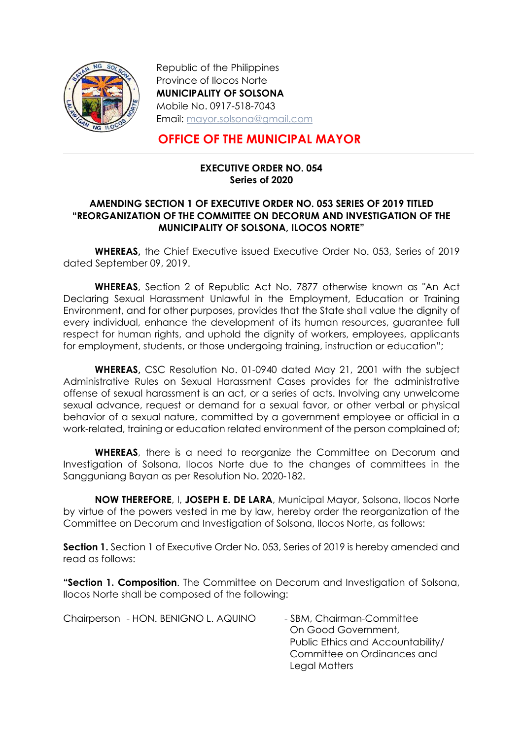

-

Republic of the Philippines Province of Ilocos Norte MUNICIPALITY OF SOLSONA Mobile No. 0917-518-7043 Email: mayor.solsona@gmail.com

## OFFICE OF THE MUNICIPAL MAYOR

## EXECUTIVE ORDER NO. 054 Series of 2020

## AMENDING SECTION 1 OF EXECUTIVE ORDER NO. 053 SERIES OF 2019 TITLED "REORGANIZATION OF THE COMMITTEE ON DECORUM AND INVESTIGATION OF THE MUNICIPALITY OF SOLSONA, ILOCOS NORTE"

WHEREAS, the Chief Executive issued Executive Order No. 053, Series of 2019 dated September 09, 2019.

WHEREAS, Section 2 of Republic Act No. 7877 otherwise known as "An Act Declaring Sexual Harassment Unlawful in the Employment, Education or Training Environment, and for other purposes, provides that the State shall value the dignity of every individual, enhance the development of its human resources, guarantee full respect for human rights, and uphold the dignity of workers, employees, applicants for employment, students, or those undergoing training, instruction or education";

WHEREAS, CSC Resolution No. 01-0940 dated May 21, 2001 with the subject Administrative Rules on Sexual Harassment Cases provides for the administrative offense of sexual harassment is an act, or a series of acts. Involving any unwelcome sexual advance, request or demand for a sexual favor, or other verbal or physical behavior of a sexual nature, committed by a government employee or official in a work-related, training or education related environment of the person complained of;

WHEREAS, there is a need to reorganize the Committee on Decorum and Investigation of Solsona, Ilocos Norte due to the changes of committees in the Sangguniang Bayan as per Resolution No. 2020-182.

NOW THEREFORE, I, JOSEPH E. DE LARA, Municipal Mayor, Solsona, Ilocos Norte by virtue of the powers vested in me by law, hereby order the reorganization of the Committee on Decorum and Investigation of Solsona, Ilocos Norte, as follows:

**Section 1.** Section 1 of Executive Order No. 053, Series of 2019 is hereby amended and read as follows:

"Section 1. Composition. The Committee on Decorum and Investigation of Solsona, Ilocos Norte shall be composed of the following:

Chairperson - HON. BENIGNO L. AQUINO - SBM, Chairman-Committee On Good Government, Public Ethics and Accountability/ Committee on Ordinances and Legal Matters